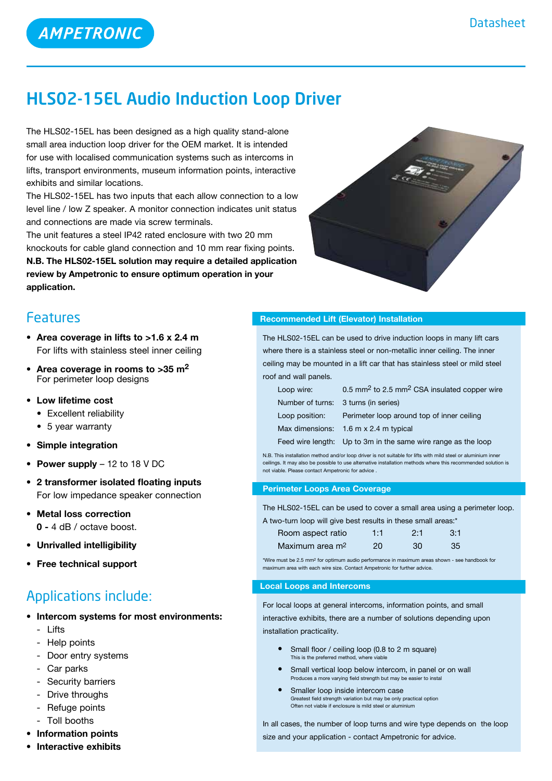# HLS02-15EL Audio Induction Loop Driver

The HLS02-15EL has been designed as a high quality stand-alone small area induction loop driver for the OEM market. It is intended for use with localised communication systems such as intercoms in lifts, transport environments, museum information points, interactive exhibits and similar locations.

The HLS02-15EL has two inputs that each allow connection to a low level line / low Z speaker. A monitor connection indicates unit status and connections are made via screw terminals.

The unit features a steel IP42 rated enclosure with two 20 mm knockouts for cable gland connection and 10 mm rear fixing points. **N.B. The HLS02-15EL solution may require a detailed application review by Ampetronic to ensure optimum operation in your application.**



# Features

- **• Area coverage in lifts to >1.6 x 2.4 m** For lifts with stainless steel inner ceiling
- **• Area coverage in rooms to >35 m2** For perimeter loop designs
- • **Low lifetime cost**
	- Excellent reliability
	- 5 year warranty
- **• Simple integration**
- **• Power supply** 12 to 18 V DC
- **• 2 transformer isolated floating inputs** For low impedance speaker connection
- **• Metal loss correction 0 -** 4 dB / octave boost.
- **• Unrivalled intelligibility**
- **Free technical support**

# Applications include:

- **• Intercom systems for most environments:**
	- Lifts
	- Help points
	- Door entry systems
	- Car parks
	- Security barriers
	- Drive throughs
	- Refuge points
	- Toll booths
- **• Information points**
- **• Interactive exhibits**

## **Recommended Lift (Elevator) Installation**

The HLS02-15EL can be used to drive induction loops in many lift cars where there is a stainless steel or non-metallic inner ceiling. The inner ceiling may be mounted in a lift car that has stainless steel or mild steel roof and wall panels.

| Loop wire:                           | 0.5 mm <sup>2</sup> to 2.5 mm <sup>2</sup> CSA insulated copper wire |
|--------------------------------------|----------------------------------------------------------------------|
| Number of turns: 3 turns (in series) |                                                                      |
| Loop position:                       | Perimeter loop around top of inner ceiling                           |
|                                      | Max dimensions: 1.6 m x 2.4 m typical                                |
|                                      | Feed wire length: Up to 3m in the same wire range as the loop        |

N.B. This installation method and/or loop driver is not suitable for lifts with mild steel or aluminium inne ceilings. It may also be possible to use alternative installation methods where this recommended solution is not viable. Please contact Ampetronic for advice .

#### **Perimeter Loops Area Coverage**

The HLS02-15EL can be used to cover a small area using a perimeter loop.

| A two-turn loop will give best results in these small areas:* |     |     |     |  |
|---------------------------------------------------------------|-----|-----|-----|--|
| Room aspect ratio                                             | 1:1 | 2.1 | 3:1 |  |
| Maximum area m <sup>2</sup>                                   | 20. | 30  | 35  |  |

\*Wire must be 2.5 mm2 for optimum audio performance in maximum areas shown - see handbook for maximum area with each wire size. Contact Ampetronic for further advice.

### **Local Loops and Intercoms**

For local loops at general intercoms, information points, and small

interactive exhibits, there are a number of solutions depending upon installation practicality.

- **Small floor / ceiling loop (0.8 to 2 m square)** This is the preferred method, y
- **•** Small vertical loop below intercom, in panel or on wall Produces a more varying field strength but may be easier to instal
- **•**  Smaller loop inside intercom case Greatest field strength variation but may be only practical option Often not viable if enclosure is mild steel or aluminium

In all cases, the number of loop turns and wire type depends on the loop size and your application - contact Ampetronic for advice.